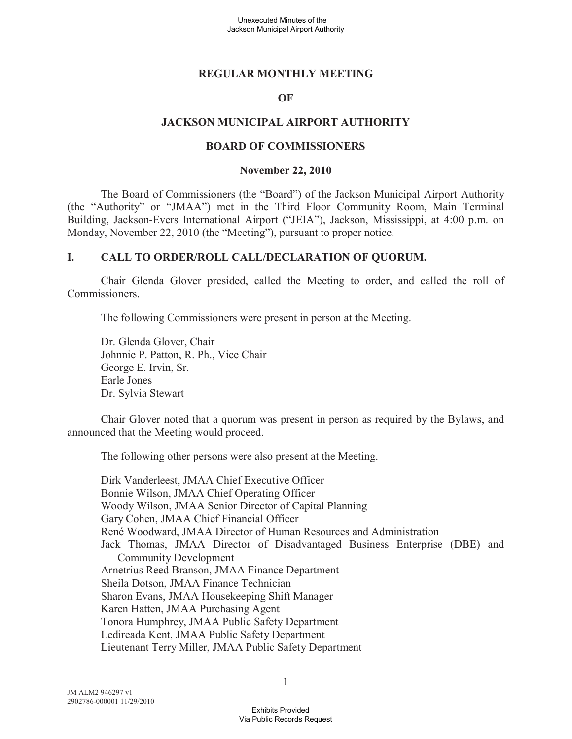#### **REGULAR MONTHLY MEETING**

#### **OF**

#### **JACKSON MUNICIPAL AIRPORT AUTHORITY**

#### **BOARD OF COMMISSIONERS**

#### **November 22, 2010**

The Board of Commissioners (the "Board") of the Jackson Municipal Airport Authority (the "Authority" or "JMAA") met in the Third Floor Community Room, Main Terminal Building, Jackson-Evers International Airport ("JEIA"), Jackson, Mississippi, at 4:00 p.m. on Monday, November 22, 2010 (the "Meeting"), pursuant to proper notice.

#### **I. CALL TO ORDER/ROLL CALL/DECLARATION OF QUORUM.**

Chair Glenda Glover presided, called the Meeting to order, and called the roll of Commissioners.

The following Commissioners were present in person at the Meeting.

Dr. Glenda Glover, Chair Johnnie P. Patton, R. Ph., Vice Chair George E. Irvin, Sr. Earle Jones Dr. Sylvia Stewart

Chair Glover noted that a quorum was present in person as required by the Bylaws, and announced that the Meeting would proceed.

The following other persons were also present at the Meeting.

Dirk Vanderleest, JMAA Chief Executive Officer Bonnie Wilson, JMAA Chief Operating Officer Woody Wilson, JMAA Senior Director of Capital Planning Gary Cohen, JMAA Chief Financial Officer René Woodward, JMAA Director of Human Resources and Administration Jack Thomas, JMAA Director of Disadvantaged Business Enterprise (DBE) and Community Development Arnetrius Reed Branson, JMAA Finance Department Sheila Dotson, JMAA Finance Technician Sharon Evans, JMAA Housekeeping Shift Manager Karen Hatten, JMAA Purchasing Agent Tonora Humphrey, JMAA Public Safety Department Ledireada Kent, JMAA Public Safety Department Lieutenant Terry Miller, JMAA Public Safety Department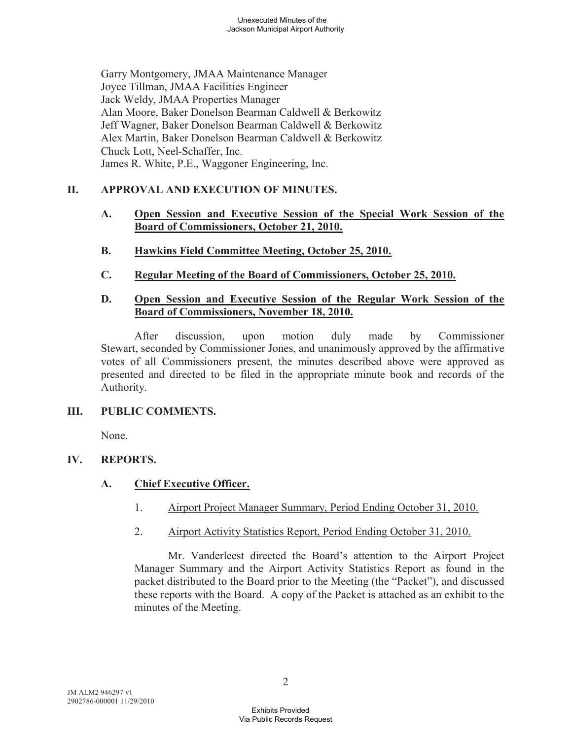Garry Montgomery, JMAA Maintenance Manager Joyce Tillman, JMAA Facilities Engineer Jack Weldy, JMAA Properties Manager Alan Moore, Baker Donelson Bearman Caldwell & Berkowitz Jeff Wagner, Baker Donelson Bearman Caldwell & Berkowitz Alex Martin, Baker Donelson Bearman Caldwell & Berkowitz Chuck Lott, Neel-Schaffer, Inc. James R. White, P.E., Waggoner Engineering, Inc.

# **II. APPROVAL AND EXECUTION OF MINUTES.**

- **A. Open Session and Executive Session of the Special Work Session of the Board of Commissioners, October 21, 2010.**
- **B. Hawkins Field Committee Meeting, October 25, 2010.**
- **C. Regular Meeting of the Board of Commissioners, October 25, 2010.**

#### **D. Open Session and Executive Session of the Regular Work Session of the Board of Commissioners, November 18, 2010.**

After discussion, upon motion duly made by Commissioner Stewart, seconded by Commissioner Jones, and unanimously approved by the affirmative votes of all Commissioners present, the minutes described above were approved as presented and directed to be filed in the appropriate minute book and records of the Authority.

# **III. PUBLIC COMMENTS.**

None.

# **IV. REPORTS.**

# **A. Chief Executive Officer.**

- 1. Airport Project Manager Summary, Period Ending October 31, 2010.
- 2. Airport Activity Statistics Report, Period Ending October 31, 2010.

Mr. Vanderleest directed the Board's attention to the Airport Project Manager Summary and the Airport Activity Statistics Report as found in the packet distributed to the Board prior to the Meeting (the "Packet"), and discussed these reports with the Board. A copy of the Packet is attached as an exhibit to the minutes of the Meeting.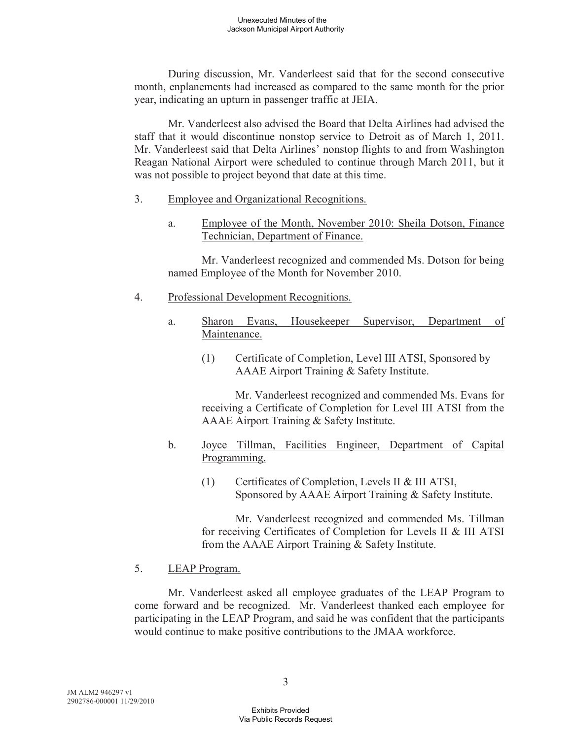During discussion, Mr. Vanderleest said that for the second consecutive month, enplanements had increased as compared to the same month for the prior year, indicating an upturn in passenger traffic at JEIA.

Mr. Vanderleest also advised the Board that Delta Airlines had advised the staff that it would discontinue nonstop service to Detroit as of March 1, 2011. Mr. Vanderleest said that Delta Airlines' nonstop flights to and from Washington Reagan National Airport were scheduled to continue through March 2011, but it was not possible to project beyond that date at this time.

- 3. Employee and Organizational Recognitions.
	- a. Employee of the Month, November 2010: Sheila Dotson, Finance Technician, Department of Finance.

Mr. Vanderleest recognized and commended Ms. Dotson for being named Employee of the Month for November 2010.

- 4. Professional Development Recognitions.
	- a. Sharon Evans, Housekeeper Supervisor, Department of Maintenance.
		- (1) Certificate of Completion, Level III ATSI, Sponsored by AAAE Airport Training & Safety Institute.

Mr. Vanderleest recognized and commended Ms. Evans for receiving a Certificate of Completion for Level III ATSI from the AAAE Airport Training & Safety Institute.

- b. Joyce Tillman, Facilities Engineer, Department of Capital Programming.
	- (1) Certificates of Completion, Levels II & III ATSI, Sponsored by AAAE Airport Training & Safety Institute.

Mr. Vanderleest recognized and commended Ms. Tillman for receiving Certificates of Completion for Levels II & III ATSI from the AAAE Airport Training & Safety Institute.

# 5. LEAP Program.

Mr. Vanderleest asked all employee graduates of the LEAP Program to come forward and be recognized. Mr. Vanderleest thanked each employee for participating in the LEAP Program, and said he was confident that the participants would continue to make positive contributions to the JMAA workforce.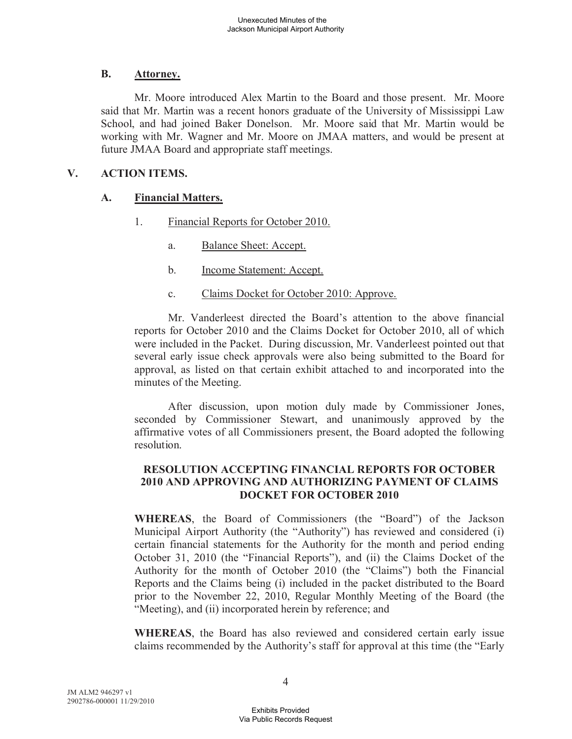# **B. Attorney.**

Mr. Moore introduced Alex Martin to the Board and those present. Mr. Moore said that Mr. Martin was a recent honors graduate of the University of Mississippi Law School, and had joined Baker Donelson. Mr. Moore said that Mr. Martin would be working with Mr. Wagner and Mr. Moore on JMAA matters, and would be present at future JMAA Board and appropriate staff meetings.

# **V. ACTION ITEMS.**

# **A. Financial Matters.**

- 1. Financial Reports for October 2010.
	- a. Balance Sheet: Accept.
	- b. Income Statement: Accept.
	- c. Claims Docket for October 2010: Approve.

Mr. Vanderleest directed the Board's attention to the above financial reports for October 2010 and the Claims Docket for October 2010, all of which were included in the Packet. During discussion, Mr. Vanderleest pointed out that several early issue check approvals were also being submitted to the Board for approval, as listed on that certain exhibit attached to and incorporated into the minutes of the Meeting.

After discussion, upon motion duly made by Commissioner Jones, seconded by Commissioner Stewart, and unanimously approved by the affirmative votes of all Commissioners present, the Board adopted the following resolution.

### **RESOLUTION ACCEPTING FINANCIAL REPORTS FOR OCTOBER 2010 AND APPROVING AND AUTHORIZING PAYMENT OF CLAIMS DOCKET FOR OCTOBER 2010**

**WHEREAS**, the Board of Commissioners (the "Board") of the Jackson Municipal Airport Authority (the "Authority") has reviewed and considered (i) certain financial statements for the Authority for the month and period ending October 31, 2010 (the "Financial Reports"), and (ii) the Claims Docket of the Authority for the month of October 2010 (the "Claims") both the Financial Reports and the Claims being (i) included in the packet distributed to the Board prior to the November 22, 2010, Regular Monthly Meeting of the Board (the "Meeting), and (ii) incorporated herein by reference; and

**WHEREAS**, the Board has also reviewed and considered certain early issue claims recommended by the Authority's staff for approval at this time (the "Early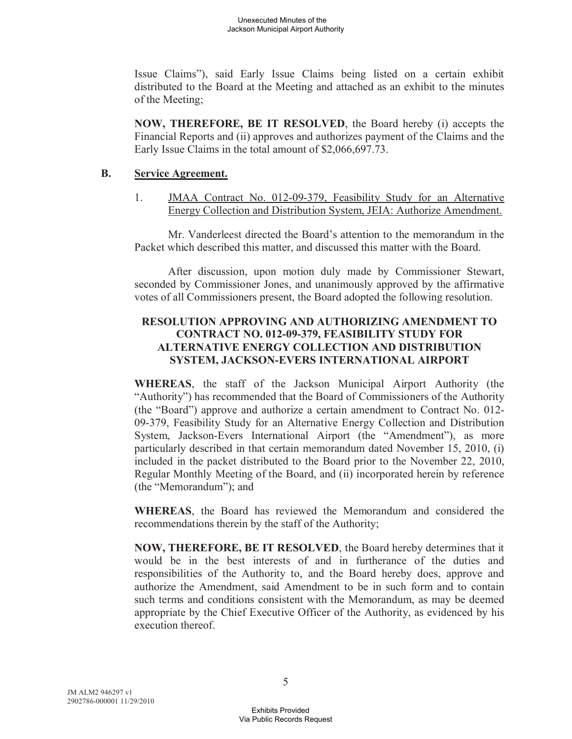Issue Claims"), said Early Issue Claims being listed on a certain exhibit distributed to the Board at the Meeting and attached as an exhibit to the minutes of the Meeting;

**NOW, THEREFORE, BE IT RESOLVED**, the Board hereby (i) accepts the Financial Reports and (ii) approves and authorizes payment of the Claims and the Early Issue Claims in the total amount of \$2,066,697.73.

#### **B. Service Agreement.**

1. JMAA Contract No. 012-09-379, Feasibility Study for an Alternative Energy Collection and Distribution System, JEIA: Authorize Amendment.

Mr. Vanderleest directed the Board's attention to the memorandum in the Packet which described this matter, and discussed this matter with the Board.

After discussion, upon motion duly made by Commissioner Stewart, seconded by Commissioner Jones, and unanimously approved by the affirmative votes of all Commissioners present, the Board adopted the following resolution.

### **RESOLUTION APPROVING AND AUTHORIZING AMENDMENT TO CONTRACT NO. 012-09-379, FEASIBILITY STUDY FOR ALTERNATIVE ENERGY COLLECTION AND DISTRIBUTION SYSTEM, JACKSON-EVERS INTERNATIONAL AIRPORT**

**WHEREAS**, the staff of the Jackson Municipal Airport Authority (the "Authority") has recommended that the Board of Commissioners of the Authority (the "Board") approve and authorize a certain amendment to Contract No. 012- 09-379, Feasibility Study for an Alternative Energy Collection and Distribution System, Jackson-Evers International Airport (the "Amendment"), as more particularly described in that certain memorandum dated November 15, 2010, (i) included in the packet distributed to the Board prior to the November 22, 2010, Regular Monthly Meeting of the Board, and (ii) incorporated herein by reference (the "Memorandum"); and

**WHEREAS**, the Board has reviewed the Memorandum and considered the recommendations therein by the staff of the Authority;

**NOW, THEREFORE, BE IT RESOLVED**, the Board hereby determines that it would be in the best interests of and in furtherance of the duties and responsibilities of the Authority to, and the Board hereby does, approve and authorize the Amendment, said Amendment to be in such form and to contain such terms and conditions consistent with the Memorandum, as may be deemed appropriate by the Chief Executive Officer of the Authority, as evidenced by his execution thereof.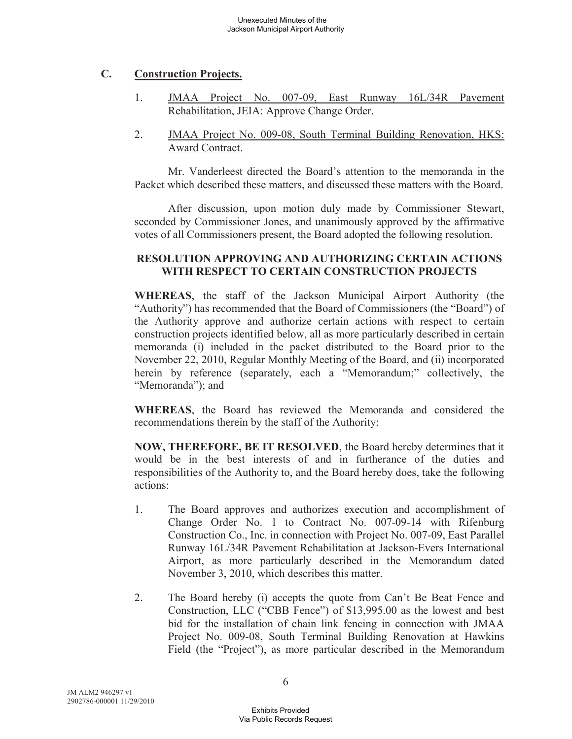# **C. Construction Projects.**

- 1. JMAA Project No. 007-09, East Runway 16L/34R Pavement Rehabilitation, JEIA: Approve Change Order.
- 2. JMAA Project No. 009-08, South Terminal Building Renovation, HKS: Award Contract.

Mr. Vanderleest directed the Board's attention to the memoranda in the Packet which described these matters, and discussed these matters with the Board.

After discussion, upon motion duly made by Commissioner Stewart, seconded by Commissioner Jones, and unanimously approved by the affirmative votes of all Commissioners present, the Board adopted the following resolution.

### **RESOLUTION APPROVING AND AUTHORIZING CERTAIN ACTIONS WITH RESPECT TO CERTAIN CONSTRUCTION PROJECTS**

**WHEREAS**, the staff of the Jackson Municipal Airport Authority (the "Authority") has recommended that the Board of Commissioners (the "Board") of the Authority approve and authorize certain actions with respect to certain construction projects identified below, all as more particularly described in certain memoranda (i) included in the packet distributed to the Board prior to the November 22, 2010, Regular Monthly Meeting of the Board, and (ii) incorporated herein by reference (separately, each a "Memorandum;" collectively, the "Memoranda"); and

**WHEREAS**, the Board has reviewed the Memoranda and considered the recommendations therein by the staff of the Authority;

**NOW, THEREFORE, BE IT RESOLVED**, the Board hereby determines that it would be in the best interests of and in furtherance of the duties and responsibilities of the Authority to, and the Board hereby does, take the following actions:

- 1. The Board approves and authorizes execution and accomplishment of Change Order No. 1 to Contract No. 007-09-14 with Rifenburg Construction Co., Inc. in connection with Project No. 007-09, East Parallel Runway 16L/34R Pavement Rehabilitation at Jackson-Evers International Airport, as more particularly described in the Memorandum dated November 3, 2010, which describes this matter.
- 2. The Board hereby (i) accepts the quote from Can't Be Beat Fence and Construction, LLC ("CBB Fence") of \$13,995.00 as the lowest and best bid for the installation of chain link fencing in connection with JMAA Project No. 009-08, South Terminal Building Renovation at Hawkins Field (the "Project"), as more particular described in the Memorandum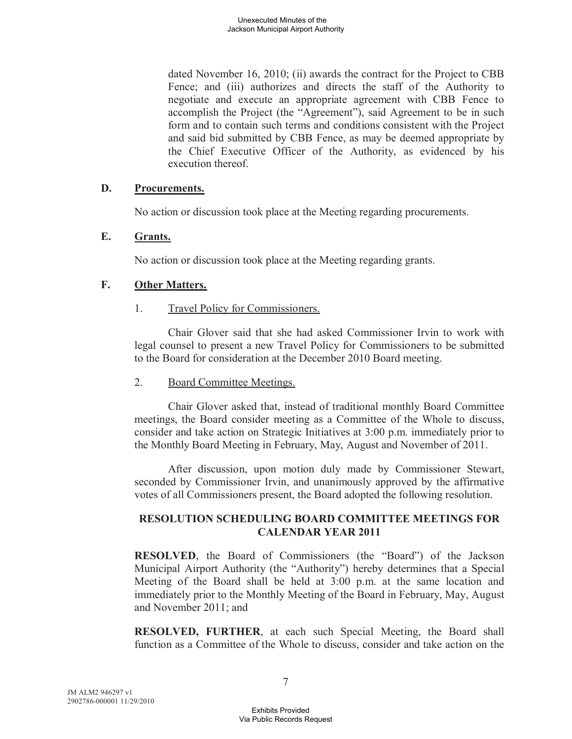dated November 16, 2010; (ii) awards the contract for the Project to CBB Fence; and (iii) authorizes and directs the staff of the Authority to negotiate and execute an appropriate agreement with CBB Fence to accomplish the Project (the "Agreement"), said Agreement to be in such form and to contain such terms and conditions consistent with the Project and said bid submitted by CBB Fence, as may be deemed appropriate by the Chief Executive Officer of the Authority, as evidenced by his execution thereof.

#### **D. Procurements.**

No action or discussion took place at the Meeting regarding procurements.

### **E. Grants.**

No action or discussion took place at the Meeting regarding grants.

# **F. Other Matters.**

1. Travel Policy for Commissioners.

Chair Glover said that she had asked Commissioner Irvin to work with legal counsel to present a new Travel Policy for Commissioners to be submitted to the Board for consideration at the December 2010 Board meeting.

# 2. Board Committee Meetings.

Chair Glover asked that, instead of traditional monthly Board Committee meetings, the Board consider meeting as a Committee of the Whole to discuss, consider and take action on Strategic Initiatives at 3:00 p.m. immediately prior to the Monthly Board Meeting in February, May, August and November of 2011.

After discussion, upon motion duly made by Commissioner Stewart, seconded by Commissioner Irvin, and unanimously approved by the affirmative votes of all Commissioners present, the Board adopted the following resolution.

# **RESOLUTION SCHEDULING BOARD COMMITTEE MEETINGS FOR CALENDAR YEAR 2011**

**RESOLVED**, the Board of Commissioners (the "Board") of the Jackson Municipal Airport Authority (the "Authority") hereby determines that a Special Meeting of the Board shall be held at 3:00 p.m. at the same location and immediately prior to the Monthly Meeting of the Board in February, May, August and November 2011; and

**RESOLVED, FURTHER**, at each such Special Meeting, the Board shall function as a Committee of the Whole to discuss, consider and take action on the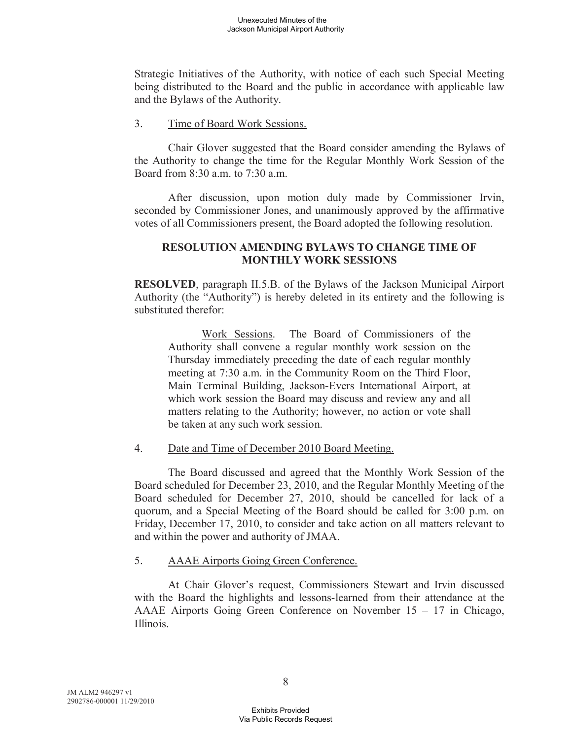Strategic Initiatives of the Authority, with notice of each such Special Meeting being distributed to the Board and the public in accordance with applicable law and the Bylaws of the Authority.

#### 3. Time of Board Work Sessions.

Chair Glover suggested that the Board consider amending the Bylaws of the Authority to change the time for the Regular Monthly Work Session of the Board from 8:30 a.m. to 7:30 a.m.

After discussion, upon motion duly made by Commissioner Irvin, seconded by Commissioner Jones, and unanimously approved by the affirmative votes of all Commissioners present, the Board adopted the following resolution.

#### **RESOLUTION AMENDING BYLAWS TO CHANGE TIME OF MONTHLY WORK SESSIONS**

**RESOLVED**, paragraph II.5.B. of the Bylaws of the Jackson Municipal Airport Authority (the "Authority") is hereby deleted in its entirety and the following is substituted therefor:

Work Sessions. The Board of Commissioners of the Authority shall convene a regular monthly work session on the Thursday immediately preceding the date of each regular monthly meeting at 7:30 a.m. in the Community Room on the Third Floor, Main Terminal Building, Jackson-Evers International Airport, at which work session the Board may discuss and review any and all matters relating to the Authority; however, no action or vote shall be taken at any such work session.

#### 4. Date and Time of December 2010 Board Meeting.

The Board discussed and agreed that the Monthly Work Session of the Board scheduled for December 23, 2010, and the Regular Monthly Meeting of the Board scheduled for December 27, 2010, should be cancelled for lack of a quorum, and a Special Meeting of the Board should be called for 3:00 p.m. on Friday, December 17, 2010, to consider and take action on all matters relevant to and within the power and authority of JMAA.

#### 5. AAAE Airports Going Green Conference.

At Chair Glover's request, Commissioners Stewart and Irvin discussed with the Board the highlights and lessons-learned from their attendance at the AAAE Airports Going Green Conference on November 15 – 17 in Chicago, Illinois.